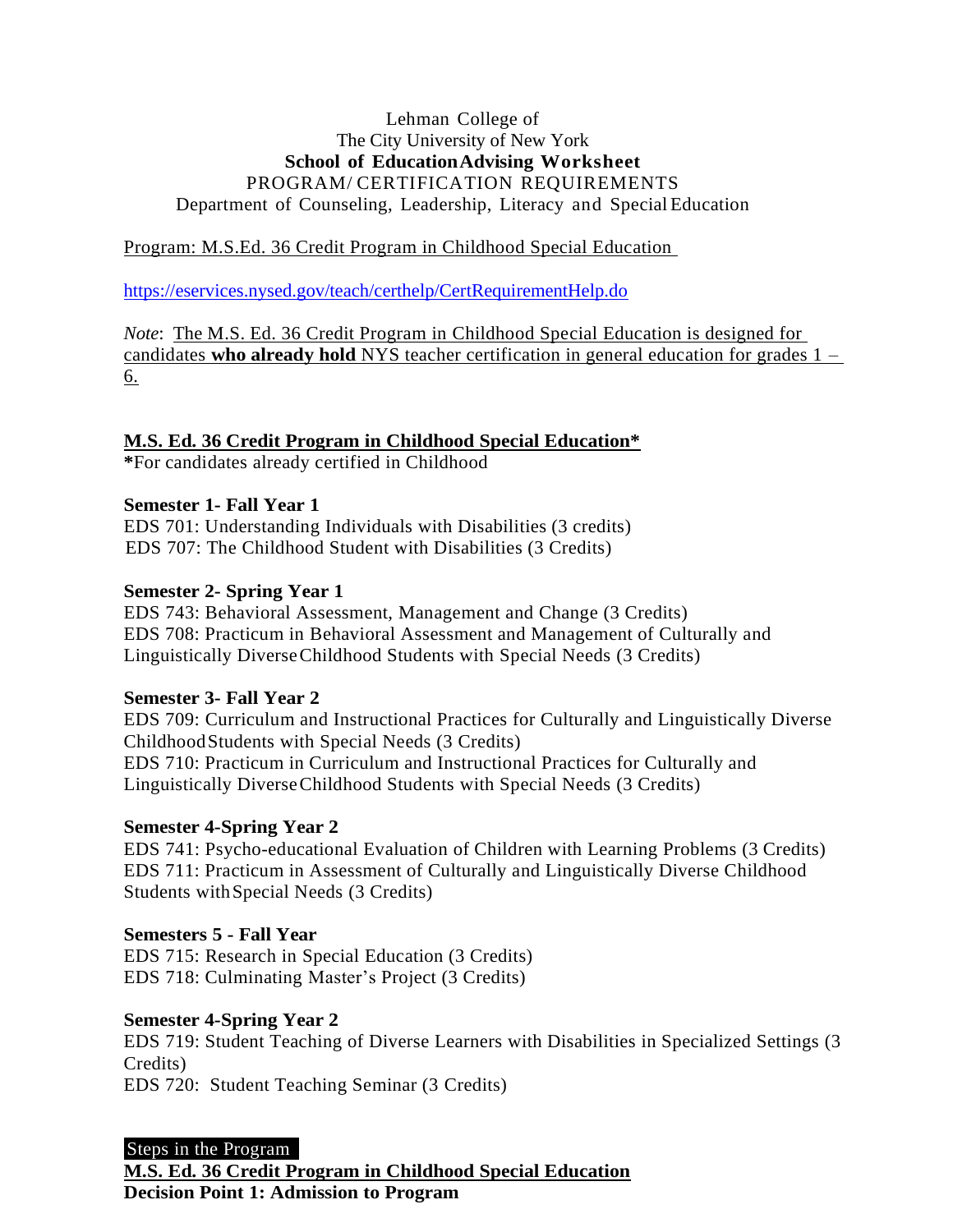# Lehman College of The City University of New York **School of EducationAdvising Worksheet** PROGRAM/ CERTIFICATION REQUIREMENTS Department of Counseling, Leadership, Literacy and Special Education

# Program: M.S.Ed. 36 Credit Program in Childhood Special Education

<https://eservices.nysed.gov/teach/certhelp/CertRequirementHelp.do>

*Note*: The M.S. Ed. 36 Credit Program in Childhood Special Education is designed for candidates **who already hold** NYS teacher certification in general education for grades 1 – 6.

#### **M.S. Ed. 36 Credit Program in Childhood Special Education\***

**\***For candidates already certified in Childhood

## **Semester 1- Fall Year 1**

EDS 701: Understanding Individuals with Disabilities (3 credits) EDS 707: The Childhood Student with Disabilities (3 Credits)

#### **Semester 2- Spring Year 1**

EDS 743: Behavioral Assessment, Management and Change (3 Credits) EDS 708: Practicum in Behavioral Assessment and Management of Culturally and Linguistically DiverseChildhood Students with Special Needs (3 Credits)

### **Semester 3- Fall Year 2**

EDS 709: Curriculum and Instructional Practices for Culturally and Linguistically Diverse ChildhoodStudents with Special Needs (3 Credits) EDS 710: Practicum in Curriculum and Instructional Practices for Culturally and Linguistically DiverseChildhood Students with Special Needs (3 Credits)

#### **Semester 4-Spring Year 2**

EDS 741: Psycho-educational Evaluation of Children with Learning Problems (3 Credits) EDS 711: Practicum in Assessment of Culturally and Linguistically Diverse Childhood Students withSpecial Needs (3 Credits)

### **Semesters 5 - Fall Year**

EDS 715: Research in Special Education (3 Credits) EDS 718: Culminating Master's Project (3 Credits)

#### **Semester 4-Spring Year 2**

EDS 719: Student Teaching of Diverse Learners with Disabilities in Specialized Settings (3 Credits)

EDS 720: Student Teaching Seminar (3 Credits)

### Steps in the Program **M.S. Ed. 36 Credit Program in Childhood Special Education Decision Point 1: Admission to Program**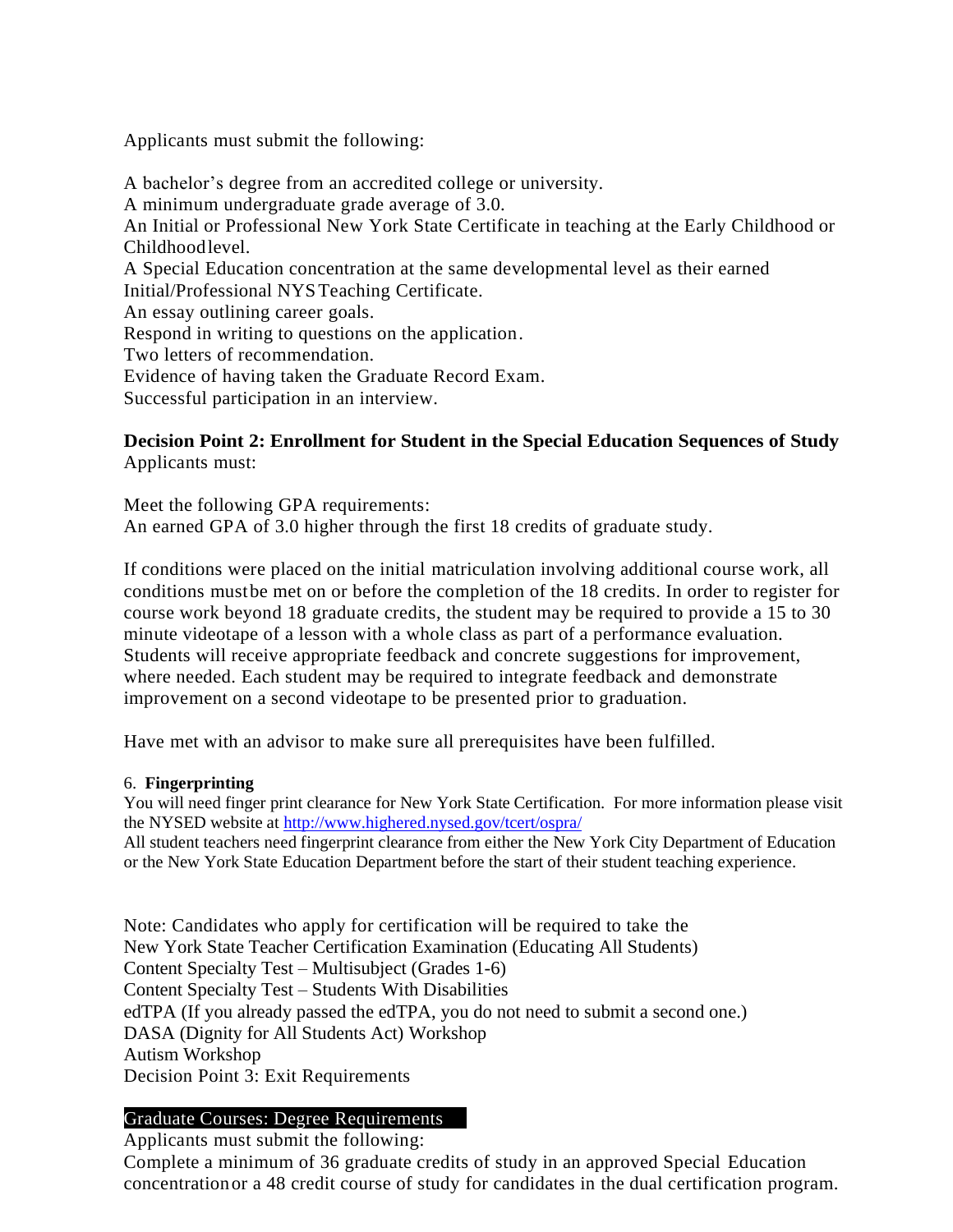Applicants must submit the following:

A bachelor's degree from an accredited college or university. A minimum undergraduate grade average of 3.0. An Initial or Professional New York State Certificate in teaching at the Early Childhood or Childhoodlevel. A Special Education concentration at the same developmental level as their earned Initial/Professional NYSTeaching Certificate. An essay outlining career goals. Respond in writing to questions on the application. Two letters of recommendation. Evidence of having taken the Graduate Record Exam. Successful participation in an interview.

# **Decision Point 2: Enrollment for Student in the Special Education Sequences of Study** Applicants must:

Meet the following GPA requirements: An earned GPA of 3.0 higher through the first 18 credits of graduate study.

If conditions were placed on the initial matriculation involving additional course work, all conditions mustbe met on or before the completion of the 18 credits. In order to register for course work beyond 18 graduate credits, the student may be required to provide a 15 to 30 minute videotape of a lesson with a whole class as part of a performance evaluation. Students will receive appropriate feedback and concrete suggestions for improvement, where needed. Each student may be required to integrate feedback and demonstrate improvement on a second videotape to be presented prior to graduation.

Have met with an advisor to make sure all prerequisites have been fulfilled.

### 6. **Fingerprinting**

You will need finger print clearance for New York State Certification. For more information please visit the NYSED website at<http://www.highered.nysed.gov/tcert/ospra/>

All student teachers need fingerprint clearance from either the New York City Department of Education or the New York State Education Department before the start of their student teaching experience.

Note: Candidates who apply for certification will be required to take the New York State Teacher Certification Examination (Educating All Students) Content Specialty Test – Multisubject (Grades 1-6) Content Specialty Test – Students With Disabilities edTPA (If you already passed the edTPA, you do not need to submit a second one.) DASA (Dignity for All Students Act) Workshop Autism Workshop Decision Point 3: Exit Requirements

# Graduate Courses: Degree Requirements

Applicants must submit the following:

Complete a minimum of 36 graduate credits of study in an approved Special Education concentrationor a 48 credit course of study for candidates in the dual certification program.